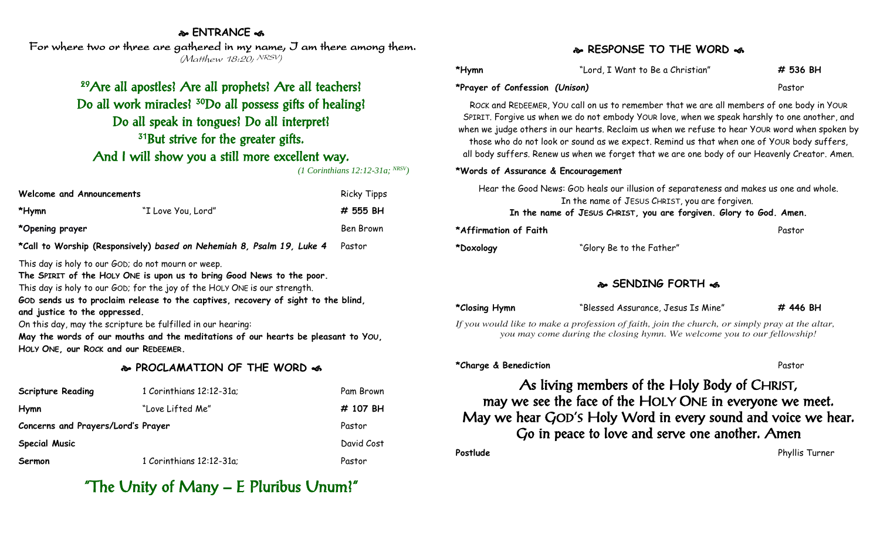#### **ENTRANCE**

For where two or three are gathered in my name, I am there among them. (Matthew 18:20; NRSV)

# <sup>29</sup>Are all apostles? Are all prophets? Are all teachers? Do all work miracles? <sup>30</sup>Do all possess gifts of healing? Do all speak in tongues? Do all interpret? <sup>31</sup>But strive for the greater gifts. And I will show you a still more excellent way.

*(1 Corinthians 12:12-31a; NRSV)*

| Welcome and Announcements                                             |                    | <b>Ricky Tipps</b> |
|-----------------------------------------------------------------------|--------------------|--------------------|
| *Hymn                                                                 | "I Love You, Lord" | # 555 BH           |
| *Opening prayer                                                       |                    | Ben Brown          |
| *Call to Worship (Responsively) based on Nehemiah 8, Psalm 19, Luke 4 |                    | Pastor             |

This day is holy to our GOD; do not mourn or weep.

**The SPIRIT of the HOLY ONE is upon us to bring Good News to the poor.**

This day is holy to our GOD; for the joy of the HOLY ONE is our strength.

**GOD sends us to proclaim release to the captives, recovery of sight to the blind, and justice to the oppressed.**

On this day, may the scripture be fulfilled in our hearing:

**May the words of our mouths and the meditations of our hearts be pleasant to YOU, HOLY ONE, our ROCK and our REDEEMER.**

#### **PROCLAMATION OF THE WORD**

| <b>Scripture Reading</b>           | 1 Corinthians 12:12-31a; | Pam Brown  |
|------------------------------------|--------------------------|------------|
| Hymn                               | "Love Lifted Me"         | # 107 BH   |
| Concerns and Prayers/Lord's Prayer |                          | Pastor     |
| <b>Special Music</b>               |                          | David Cost |
| Sermon                             | 1 Corinthians 12:12-31a; | Pastor     |

# "The Unity of Many – E Pluribus Unum?"

#### **RESPONSE TO THE WORD**

| *Hymn                          | "Lord, I Want to Be a Christian" | # 536 BH |
|--------------------------------|----------------------------------|----------|
| *Prayer of Confession (Unison) |                                  | Pastor   |

ROCK and REDEEMER, YOU call on us to remember that we are all members of one body in YOUR SPIRIT. Forgive us when we do not embody YOUR love, when we speak harshly to one another, and when we judge others in our hearts. Reclaim us when we refuse to hear YOUR word when spoken by those who do not look or sound as we expect. Remind us that when one of YOUR body suffers, all body suffers. Renew us when we forget that we are one body of our Heavenly Creator. Amen.

#### **\*Words of Assurance & Encouragement**

| Hear the Good News: GOD heals our illusion of separateness and makes us one and whole. |        |
|----------------------------------------------------------------------------------------|--------|
| In the name of JESUS CHRIST, you are forgiven.                                         |        |
| In the name of JESUS CHRIST, you are forgiven. Glory to God. Amen.                     |        |
| *Affirmation of Faith                                                                  | Pastor |

### **\*Doxology** "Glory Be to the Father"

#### **SENDING FORTH**

| *Closing Hymn | "Blessed Assurance, Jesus Is Mine" | # 446 BH |
|---------------|------------------------------------|----------|
|               |                                    |          |

*If you would like to make a profession of faith, join the church, or simply pray at the altar, you may come during the closing hymn. We welcome you to our fellowship!*

#### **\*Charge & Benediction** Pastor

## As living members of the Holy Body of CHRIST, may we see the face of the HOLY ONE in everyone we meet. May we hear GOD'S Holy Word in every sound and voice we hear. Go in peace to love and serve one another. Amen **Postlude** Phyllis Turner